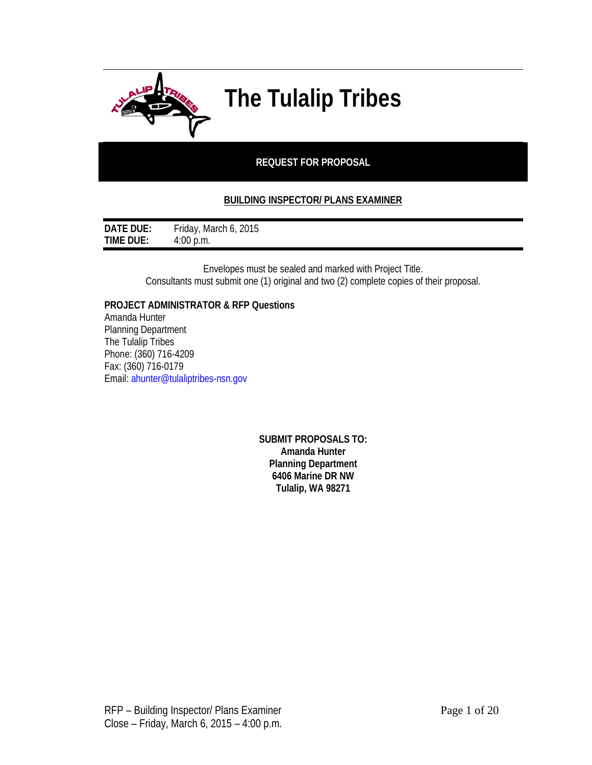

# **The Tulalip Tribes**

# **REQUEST FOR PROPOSAL**

# **BUILDING INSPECTOR/ PLANS EXAMINER**

| DATE DUE:        | Friday, March 6, 2015 |
|------------------|-----------------------|
| <b>TIME DUE:</b> | $4:00$ p.m.           |

Envelopes must be sealed and marked with Project Title. Consultants must submit one (1) original and two (2) complete copies of their proposal.

**PROJECT ADMINISTRATOR & RFP Questions**

Amanda Hunter Planning Department The Tulalip Tribes Phone: (360) 716-4209 Fax: (360) 716-0179 Email: ahunter@tulaliptribes-nsn.gov

> **SUBMIT PROPOSALS TO: Amanda Hunter Planning Department 6406 Marine DR NW Tulalip, WA 98271**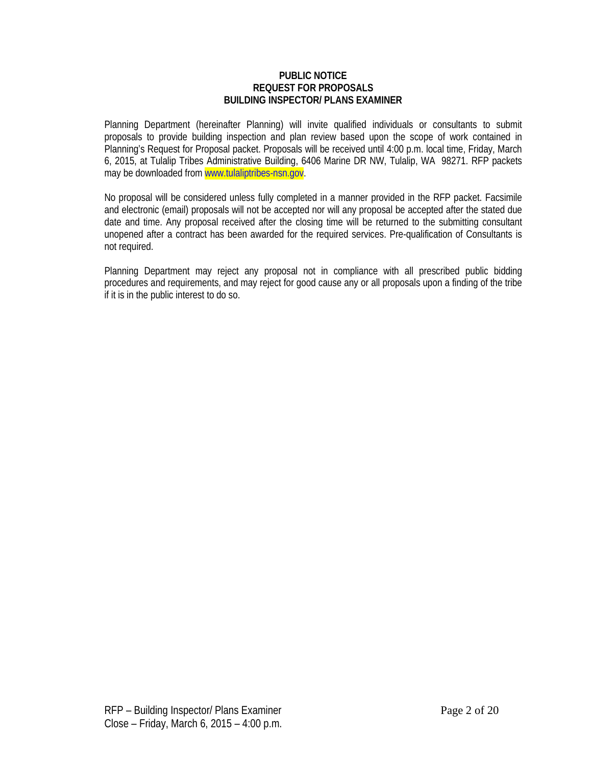#### **PUBLIC NOTICE REQUEST FOR PROPOSALS BUILDING INSPECTOR/ PLANS EXAMINER**

Planning Department (hereinafter Planning) will invite qualified individuals or consultants to submit proposals to provide building inspection and plan review based upon the scope of work contained in Planning's Request for Proposal packet. Proposals will be received until 4:00 p.m. local time, Friday, March 6, 2015, at Tulalip Tribes Administrative Building, 6406 Marine DR NW, Tulalip, WA 98271. RFP packets may be downloaded from www.tulaliptribes-nsn.gov.

No proposal will be considered unless fully completed in a manner provided in the RFP packet. Facsimile and electronic (email) proposals will not be accepted nor will any proposal be accepted after the stated due date and time. Any proposal received after the closing time will be returned to the submitting consultant unopened after a contract has been awarded for the required services. Pre-qualification of Consultants is not required.

Planning Department may reject any proposal not in compliance with all prescribed public bidding procedures and requirements, and may reject for good cause any or all proposals upon a finding of the tribe if it is in the public interest to do so.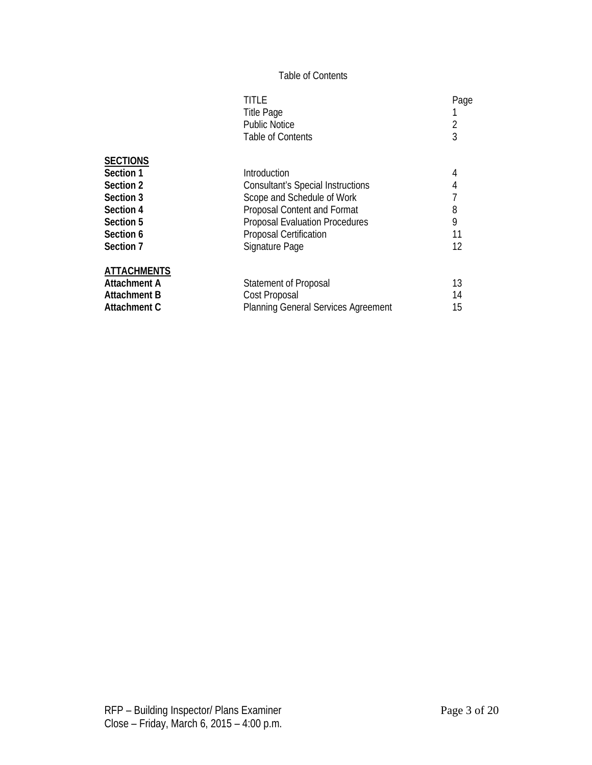# Table of Contents

|                     | TITLE                                      | Page |
|---------------------|--------------------------------------------|------|
|                     | <b>Title Page</b>                          |      |
|                     | <b>Public Notice</b>                       | 2    |
|                     | Table of Contents                          | 3    |
| <b>SECTIONS</b>     |                                            |      |
| Section 1           | Introduction                               | 4    |
| Section 2           | <b>Consultant's Special Instructions</b>   | 4    |
| Section 3           | Scope and Schedule of Work                 |      |
| Section 4           | Proposal Content and Format                | 8    |
| Section 5           | <b>Proposal Evaluation Procedures</b>      | 9    |
| Section 6           | <b>Proposal Certification</b>              | 11   |
| Section 7           | Signature Page                             | 12   |
| <b>ATTACHMENTS</b>  |                                            |      |
| <b>Attachment A</b> | <b>Statement of Proposal</b>               | 13   |
| Attachment B        | Cost Proposal                              | 14   |
| Attachment C        | <b>Planning General Services Agreement</b> | 15   |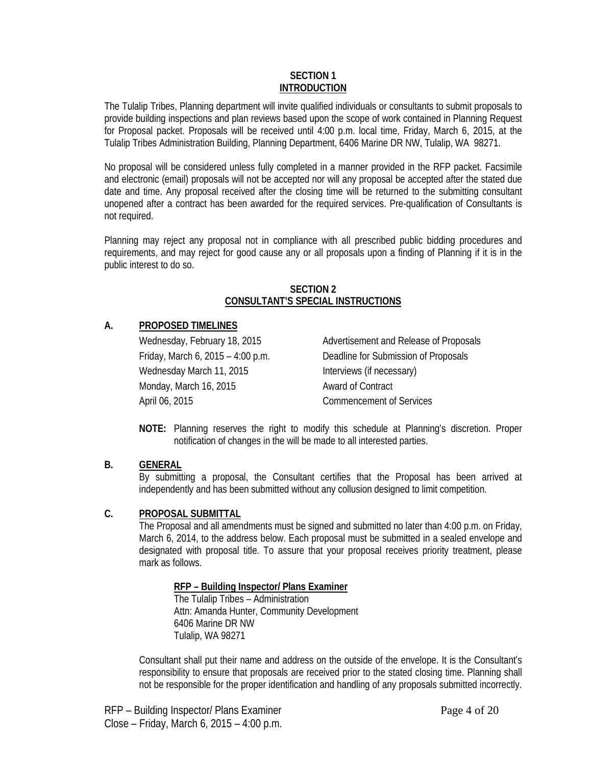#### **SECTION 1 INTRODUCTION**

The Tulalip Tribes, Planning department will invite qualified individuals or consultants to submit proposals to provide building inspections and plan reviews based upon the scope of work contained in Planning Request for Proposal packet. Proposals will be received until 4:00 p.m. local time, Friday, March 6, 2015, at the Tulalip Tribes Administration Building, Planning Department, 6406 Marine DR NW, Tulalip, WA 98271.

No proposal will be considered unless fully completed in a manner provided in the RFP packet. Facsimile and electronic (email) proposals will not be accepted nor will any proposal be accepted after the stated due date and time. Any proposal received after the closing time will be returned to the submitting consultant unopened after a contract has been awarded for the required services. Pre-qualification of Consultants is not required.

Planning may reject any proposal not in compliance with all prescribed public bidding procedures and requirements, and may reject for good cause any or all proposals upon a finding of Planning if it is in the public interest to do so.

#### **SECTION 2 CONSULTANT'S SPECIAL INSTRUCTIONS**

# **A. PROPOSED TIMELINES**

Wednesday March 11, 2015 Interviews (if necessary) Monday, March 16, 2015 Monday, March 16, 2015 April 06, 2015 **Commencement of Services** 

Wednesday, February 18, 2015 Advertisement and Release of Proposals Friday, March 6, 2015 – 4:00 p.m. Deadline for Submission of Proposals

**NOTE:** Planning reserves the right to modify this schedule at Planning's discretion. Proper notification of changes in the will be made to all interested parties.

# **B. GENERAL**

By submitting a proposal, the Consultant certifies that the Proposal has been arrived at independently and has been submitted without any collusion designed to limit competition.

# **C. PROPOSAL SUBMITTAL**

The Proposal and all amendments must be signed and submitted no later than 4:00 p.m. on Friday, March 6, 2014, to the address below. Each proposal must be submitted in a sealed envelope and designated with proposal title. To assure that your proposal receives priority treatment, please mark as follows.

# **RFP – Building Inspector/ Plans Examiner**

The Tulalip Tribes – Administration Attn: Amanda Hunter, Community Development 6406 Marine DR NW Tulalip, WA 98271

Consultant shall put their name and address on the outside of the envelope. It is the Consultant's responsibility to ensure that proposals are received prior to the stated closing time. Planning shall not be responsible for the proper identification and handling of any proposals submitted incorrectly.

RFP – Building Inspector/ Plans Examiner **Page 4 of 20** Close – Friday, March 6, 2015 – 4:00 p.m.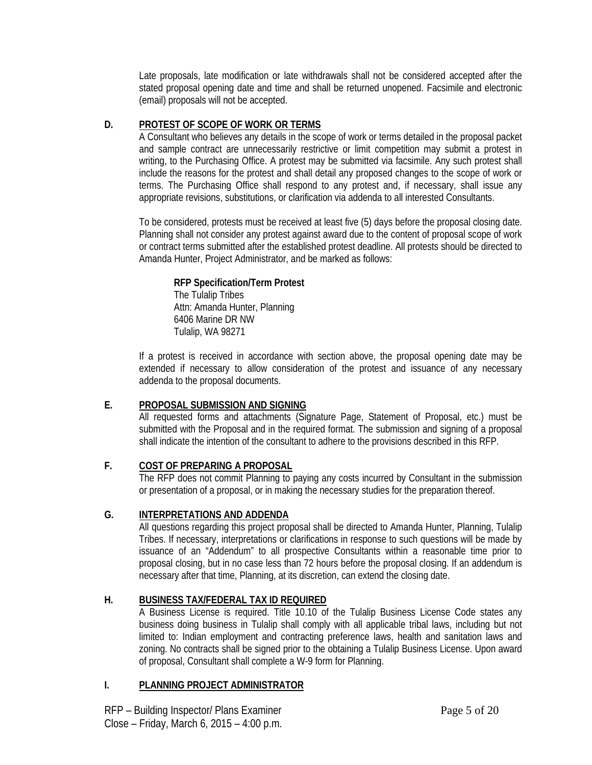Late proposals, late modification or late withdrawals shall not be considered accepted after the stated proposal opening date and time and shall be returned unopened. Facsimile and electronic (email) proposals will not be accepted.

# **D. PROTEST OF SCOPE OF WORK OR TERMS**

A Consultant who believes any details in the scope of work or terms detailed in the proposal packet and sample contract are unnecessarily restrictive or limit competition may submit a protest in writing, to the Purchasing Office. A protest may be submitted via facsimile. Any such protest shall include the reasons for the protest and shall detail any proposed changes to the scope of work or terms. The Purchasing Office shall respond to any protest and, if necessary, shall issue any appropriate revisions, substitutions, or clarification via addenda to all interested Consultants.

To be considered, protests must be received at least five (5) days before the proposal closing date. Planning shall not consider any protest against award due to the content of proposal scope of work or contract terms submitted after the established protest deadline. All protests should be directed to Amanda Hunter, Project Administrator, and be marked as follows:

# **RFP Specification/Term Protest**

The Tulalip Tribes Attn: Amanda Hunter, Planning 6406 Marine DR NW Tulalip, WA 98271

If a protest is received in accordance with section above, the proposal opening date may be extended if necessary to allow consideration of the protest and issuance of any necessary addenda to the proposal documents.

# **E. PROPOSAL SUBMISSION AND SIGNING**

All requested forms and attachments (Signature Page, Statement of Proposal, etc.) must be submitted with the Proposal and in the required format. The submission and signing of a proposal shall indicate the intention of the consultant to adhere to the provisions described in this RFP.

# **F. COST OF PREPARING A PROPOSAL**

The RFP does not commit Planning to paying any costs incurred by Consultant in the submission or presentation of a proposal, or in making the necessary studies for the preparation thereof.

# **G. INTERPRETATIONS AND ADDENDA**

All questions regarding this project proposal shall be directed to Amanda Hunter, Planning, Tulalip Tribes. If necessary, interpretations or clarifications in response to such questions will be made by issuance of an "Addendum" to all prospective Consultants within a reasonable time prior to proposal closing, but in no case less than 72 hours before the proposal closing. If an addendum is necessary after that time, Planning, at its discretion, can extend the closing date.

# **H. BUSINESS TAX/FEDERAL TAX ID REQUIRED**

A Business License is required. Title 10.10 of the Tulalip Business License Code states any business doing business in Tulalip shall comply with all applicable tribal laws, including but not limited to: Indian employment and contracting preference laws, health and sanitation laws and zoning. No contracts shall be signed prior to the obtaining a Tulalip Business License. Upon award of proposal, Consultant shall complete a W-9 form for Planning.

# **I. PLANNING PROJECT ADMINISTRATOR**

RFP – Building Inspector/ Plans Examiner Page 5 of 20 Close – Friday, March 6, 2015 – 4:00 p.m.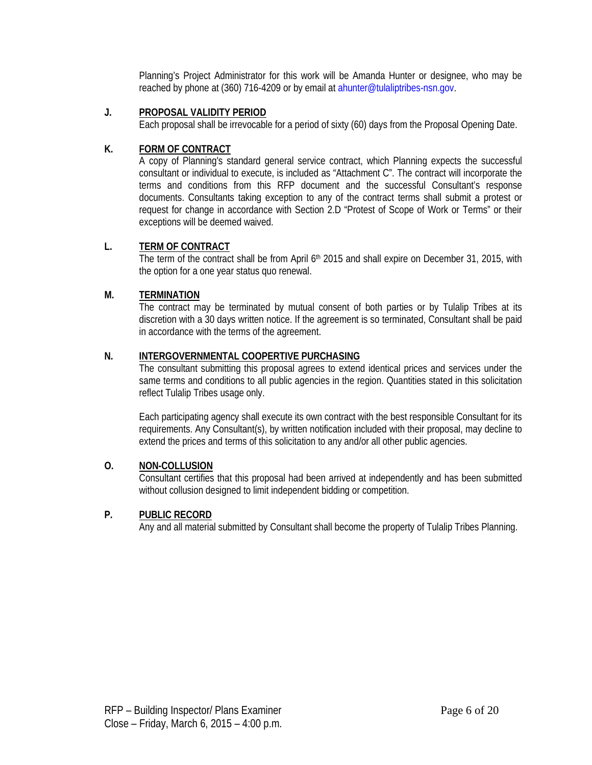Planning's Project Administrator for this work will be Amanda Hunter or designee, who may be reached by phone at (360) 716-4209 or by email at ahunter@tulaliptribes-nsn.gov.

# **J. PROPOSAL VALIDITY PERIOD**

Each proposal shall be irrevocable for a period of sixty (60) days from the Proposal Opening Date.

# **K. FORM OF CONTRACT**

A copy of Planning's standard general service contract, which Planning expects the successful consultant or individual to execute, is included as "Attachment C". The contract will incorporate the terms and conditions from this RFP document and the successful Consultant's response documents. Consultants taking exception to any of the contract terms shall submit a protest or request for change in accordance with Section 2.D "Protest of Scope of Work or Terms" or their exceptions will be deemed waived.

# **L. TERM OF CONTRACT**

The term of the contract shall be from April 6<sup>th</sup> 2015 and shall expire on December 31, 2015, with the option for a one year status quo renewal.

# **M. TERMINATION**

The contract may be terminated by mutual consent of both parties or by Tulalip Tribes at its discretion with a 30 days written notice. If the agreement is so terminated, Consultant shall be paid in accordance with the terms of the agreement.

# **N. INTERGOVERNMENTAL COOPERTIVE PURCHASING**

The consultant submitting this proposal agrees to extend identical prices and services under the same terms and conditions to all public agencies in the region. Quantities stated in this solicitation reflect Tulalip Tribes usage only.

Each participating agency shall execute its own contract with the best responsible Consultant for its requirements. Any Consultant(s), by written notification included with their proposal, may decline to extend the prices and terms of this solicitation to any and/or all other public agencies.

# **O. NON-COLLUSION**

Consultant certifies that this proposal had been arrived at independently and has been submitted without collusion designed to limit independent bidding or competition.

# **P. PUBLIC RECORD**

Any and all material submitted by Consultant shall become the property of Tulalip Tribes Planning.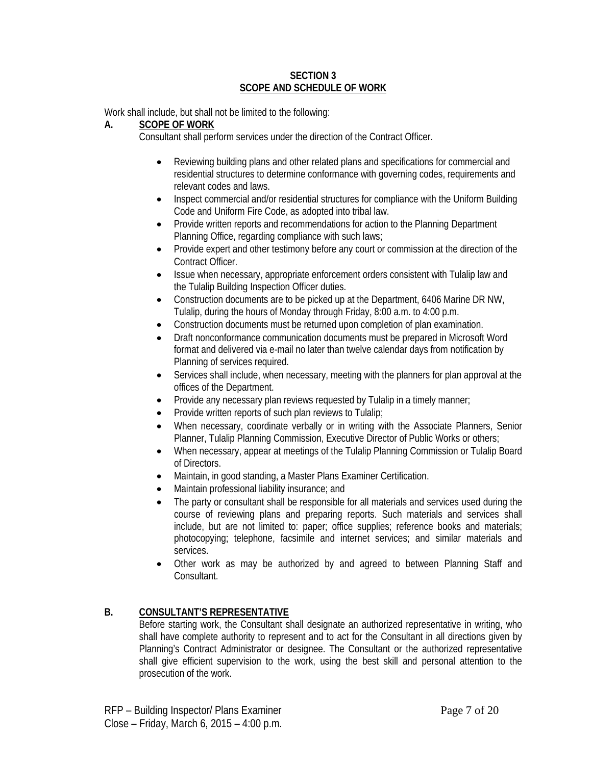#### **SECTION 3 SCOPE AND SCHEDULE OF WORK**

Work shall include, but shall not be limited to the following:

#### **A. SCOPE OF WORK**

Consultant shall perform services under the direction of the Contract Officer.

- Reviewing building plans and other related plans and specifications for commercial and residential structures to determine conformance with governing codes, requirements and relevant codes and laws.
- Inspect commercial and/or residential structures for compliance with the Uniform Building Code and Uniform Fire Code, as adopted into tribal law.
- Provide written reports and recommendations for action to the Planning Department Planning Office, regarding compliance with such laws;
- Provide expert and other testimony before any court or commission at the direction of the Contract Officer.
- Issue when necessary, appropriate enforcement orders consistent with Tulalip law and the Tulalip Building Inspection Officer duties.
- Construction documents are to be picked up at the Department, 6406 Marine DR NW, Tulalip, during the hours of Monday through Friday, 8:00 a.m. to 4:00 p.m.
- Construction documents must be returned upon completion of plan examination.
- Draft nonconformance communication documents must be prepared in Microsoft Word format and delivered via e-mail no later than twelve calendar days from notification by Planning of services required.
- Services shall include, when necessary, meeting with the planners for plan approval at the offices of the Department.
- Provide any necessary plan reviews requested by Tulalip in a timely manner;
- Provide written reports of such plan reviews to Tulalip;
- When necessary, coordinate verbally or in writing with the Associate Planners, Senior Planner, Tulalip Planning Commission, Executive Director of Public Works or others;
- When necessary, appear at meetings of the Tulalip Planning Commission or Tulalip Board of Directors.
- Maintain, in good standing, a Master Plans Examiner Certification.
- Maintain professional liability insurance; and
- The party or consultant shall be responsible for all materials and services used during the course of reviewing plans and preparing reports. Such materials and services shall include, but are not limited to: paper; office supplies; reference books and materials; photocopying; telephone, facsimile and internet services; and similar materials and services.
- Other work as may be authorized by and agreed to between Planning Staff and Consultant.

# **B. CONSULTANT'S REPRESENTATIVE**

Before starting work, the Consultant shall designate an authorized representative in writing, who shall have complete authority to represent and to act for the Consultant in all directions given by Planning's Contract Administrator or designee. The Consultant or the authorized representative shall give efficient supervision to the work, using the best skill and personal attention to the prosecution of the work.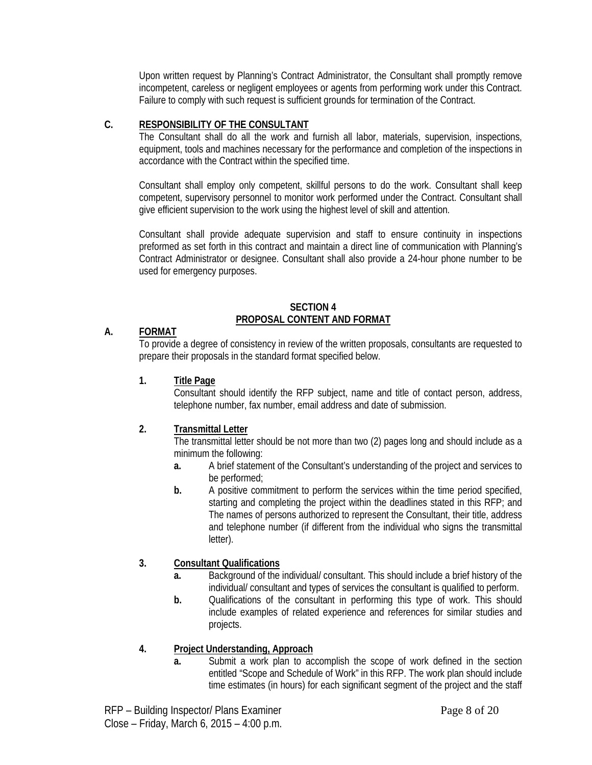Upon written request by Planning's Contract Administrator, the Consultant shall promptly remove incompetent, careless or negligent employees or agents from performing work under this Contract. Failure to comply with such request is sufficient grounds for termination of the Contract.

# **C. RESPONSIBILITY OF THE CONSULTANT**

The Consultant shall do all the work and furnish all labor, materials, supervision, inspections, equipment, tools and machines necessary for the performance and completion of the inspections in accordance with the Contract within the specified time.

Consultant shall employ only competent, skillful persons to do the work. Consultant shall keep competent, supervisory personnel to monitor work performed under the Contract. Consultant shall give efficient supervision to the work using the highest level of skill and attention.

Consultant shall provide adequate supervision and staff to ensure continuity in inspections preformed as set forth in this contract and maintain a direct line of communication with Planning's Contract Administrator or designee. Consultant shall also provide a 24-hour phone number to be used for emergency purposes.

#### **SECTION 4 PROPOSAL CONTENT AND FORMAT**

# **A. FORMAT**

To provide a degree of consistency in review of the written proposals, consultants are requested to prepare their proposals in the standard format specified below.

# **1. Title Page**

Consultant should identify the RFP subject, name and title of contact person, address, telephone number, fax number, email address and date of submission.

# **2. Transmittal Letter**

The transmittal letter should be not more than two (2) pages long and should include as a minimum the following:

- **a.** A brief statement of the Consultant's understanding of the project and services to be performed;
- **b.** A positive commitment to perform the services within the time period specified, starting and completing the project within the deadlines stated in this RFP; and The names of persons authorized to represent the Consultant, their title, address and telephone number (if different from the individual who signs the transmittal letter).

# **3. Consultant Qualifications**

- **a.** Background of the individual/ consultant. This should include a brief history of the individual/ consultant and types of services the consultant is qualified to perform.
- **b.** Qualifications of the consultant in performing this type of work. This should include examples of related experience and references for similar studies and projects.

# **4. Project Understanding, Approach**

**a.** Submit a work plan to accomplish the scope of work defined in the section entitled "Scope and Schedule of Work" in this RFP. The work plan should include time estimates (in hours) for each significant segment of the project and the staff

RFP – Building Inspector/ Plans Examiner Page 8 of 20 Close – Friday, March 6, 2015 – 4:00 p.m.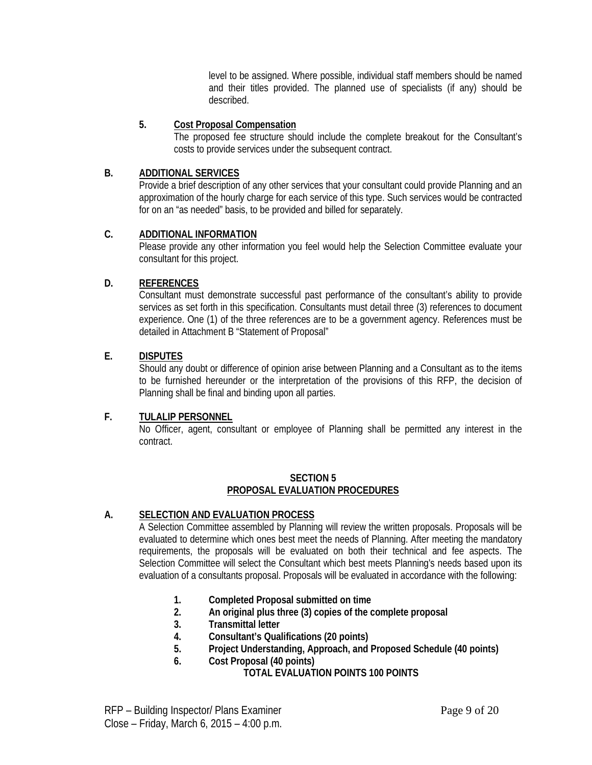level to be assigned. Where possible, individual staff members should be named and their titles provided. The planned use of specialists (if any) should be described.

# **5. Cost Proposal Compensation**

The proposed fee structure should include the complete breakout for the Consultant's costs to provide services under the subsequent contract.

# **B. ADDITIONAL SERVICES**

Provide a brief description of any other services that your consultant could provide Planning and an approximation of the hourly charge for each service of this type. Such services would be contracted for on an "as needed" basis, to be provided and billed for separately.

# **C. ADDITIONAL INFORMATION**

Please provide any other information you feel would help the Selection Committee evaluate your consultant for this project.

# **D. REFERENCES**

Consultant must demonstrate successful past performance of the consultant's ability to provide services as set forth in this specification. Consultants must detail three (3) references to document experience. One (1) of the three references are to be a government agency. References must be detailed in Attachment B "Statement of Proposal"

# **E. DISPUTES**

Should any doubt or difference of opinion arise between Planning and a Consultant as to the items to be furnished hereunder or the interpretation of the provisions of this RFP, the decision of Planning shall be final and binding upon all parties.

# **F. TULALIP PERSONNEL**

No Officer, agent, consultant or employee of Planning shall be permitted any interest in the contract.

# **SECTION 5 PROPOSAL EVALUATION PROCEDURES**

# **A. SELECTION AND EVALUATION PROCESS**

A Selection Committee assembled by Planning will review the written proposals. Proposals will be evaluated to determine which ones best meet the needs of Planning. After meeting the mandatory requirements, the proposals will be evaluated on both their technical and fee aspects. The Selection Committee will select the Consultant which best meets Planning's needs based upon its evaluation of a consultants proposal. Proposals will be evaluated in accordance with the following:

- **1. Completed Proposal submitted on time**
- **2. An original plus three (3) copies of the complete proposal**
- **3. Transmittal letter**
- **4. Consultant's Qualifications (20 points)**
- **5. Project Understanding, Approach, and Proposed Schedule (40 points)**
- **6. Cost Proposal (40 points)**
	- **TOTAL EVALUATION POINTS 100 POINTS**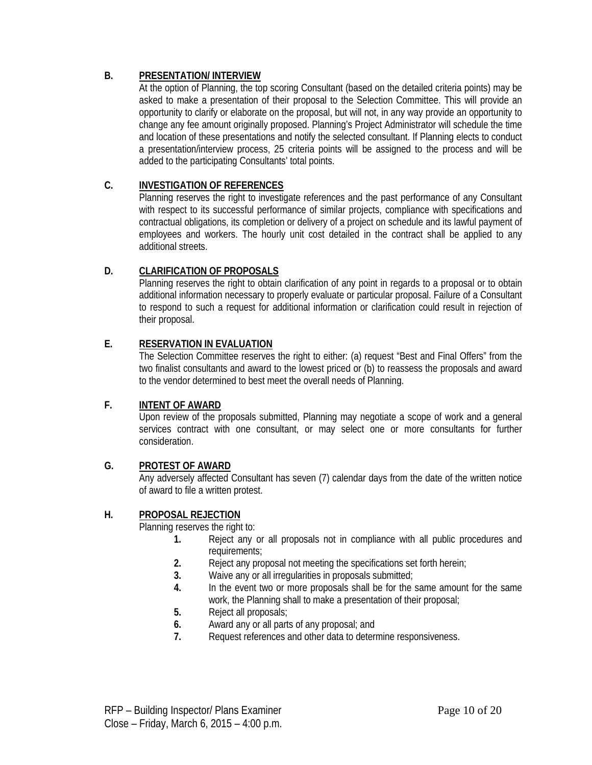# **B. PRESENTATION/ INTERVIEW**

At the option of Planning, the top scoring Consultant (based on the detailed criteria points) may be asked to make a presentation of their proposal to the Selection Committee. This will provide an opportunity to clarify or elaborate on the proposal, but will not, in any way provide an opportunity to change any fee amount originally proposed. Planning's Project Administrator will schedule the time and location of these presentations and notify the selected consultant. If Planning elects to conduct a presentation/interview process, 25 criteria points will be assigned to the process and will be added to the participating Consultants' total points.

# **C. INVESTIGATION OF REFERENCES**

Planning reserves the right to investigate references and the past performance of any Consultant with respect to its successful performance of similar projects, compliance with specifications and contractual obligations, its completion or delivery of a project on schedule and its lawful payment of employees and workers. The hourly unit cost detailed in the contract shall be applied to any additional streets.

# **D. CLARIFICATION OF PROPOSALS**

Planning reserves the right to obtain clarification of any point in regards to a proposal or to obtain additional information necessary to properly evaluate or particular proposal. Failure of a Consultant to respond to such a request for additional information or clarification could result in rejection of their proposal.

# **E. RESERVATION IN EVALUATION**

The Selection Committee reserves the right to either: (a) request "Best and Final Offers" from the two finalist consultants and award to the lowest priced or (b) to reassess the proposals and award to the vendor determined to best meet the overall needs of Planning.

# **F. INTENT OF AWARD**

Upon review of the proposals submitted, Planning may negotiate a scope of work and a general services contract with one consultant, or may select one or more consultants for further consideration.

# **G. PROTEST OF AWARD**

Any adversely affected Consultant has seven (7) calendar days from the date of the written notice of award to file a written protest.

# **H. PROPOSAL REJECTION**

Planning reserves the right to:

- **1.** Reject any or all proposals not in compliance with all public procedures and requirements;
- **2.** Reject any proposal not meeting the specifications set forth herein;
- **3.** Waive any or all irregularities in proposals submitted;
- **4.** In the event two or more proposals shall be for the same amount for the same work, the Planning shall to make a presentation of their proposal;
- **5.** Reject all proposals;
- **6.** Award any or all parts of any proposal; and
- **7.** Request references and other data to determine responsiveness.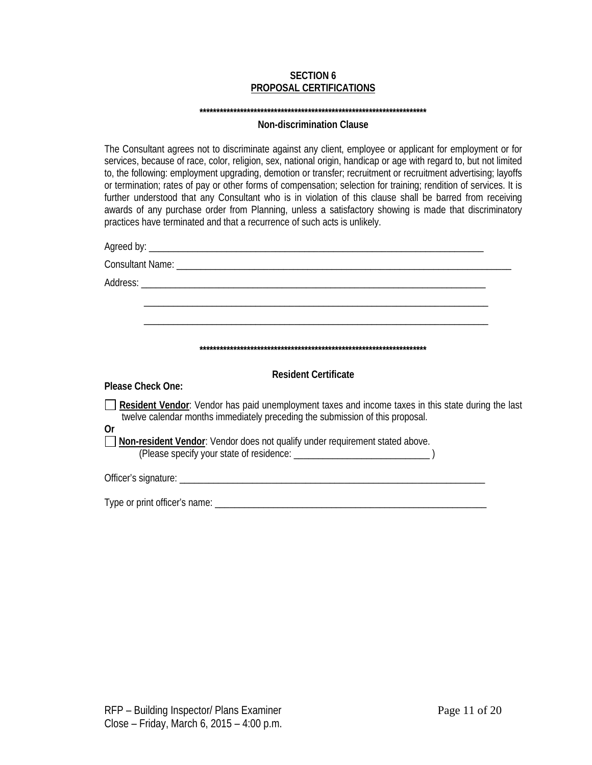#### **SECTION 6 PROPOSAL CERTIFICATIONS**

#### **\*\*\*\*\*\*\*\*\*\*\*\*\*\*\*\*\*\*\*\*\*\*\*\*\*\*\*\*\*\*\*\*\*\*\*\*\*\*\*\*\*\*\*\*\*\*\*\*\*\*\*\*\*\*\*\*\*\*\*\*\*\*\*\*\*\*\***

#### **Non-discrimination Clause**

The Consultant agrees not to discriminate against any client, employee or applicant for employment or for services, because of race, color, religion, sex, national origin, handicap or age with regard to, but not limited to, the following: employment upgrading, demotion or transfer; recruitment or recruitment advertising; layoffs or termination; rates of pay or other forms of compensation; selection for training; rendition of services. It is further understood that any Consultant who is in violation of this clause shall be barred from receiving awards of any purchase order from Planning, unless a satisfactory showing is made that discriminatory practices have terminated and that a recurrence of such acts is unlikely.

| <b>Resident Certificate</b>                                                                                                                                                         |  |
|-------------------------------------------------------------------------------------------------------------------------------------------------------------------------------------|--|
| Please Check One:                                                                                                                                                                   |  |
| Resident Vendor: Vendor has paid unemployment taxes and income taxes in this state during the last<br>twelve calendar months immediately preceding the submission of this proposal. |  |
| 0r<br><b>Non-resident Vendor:</b> Vendor does not qualify under requirement stated above.                                                                                           |  |
|                                                                                                                                                                                     |  |
|                                                                                                                                                                                     |  |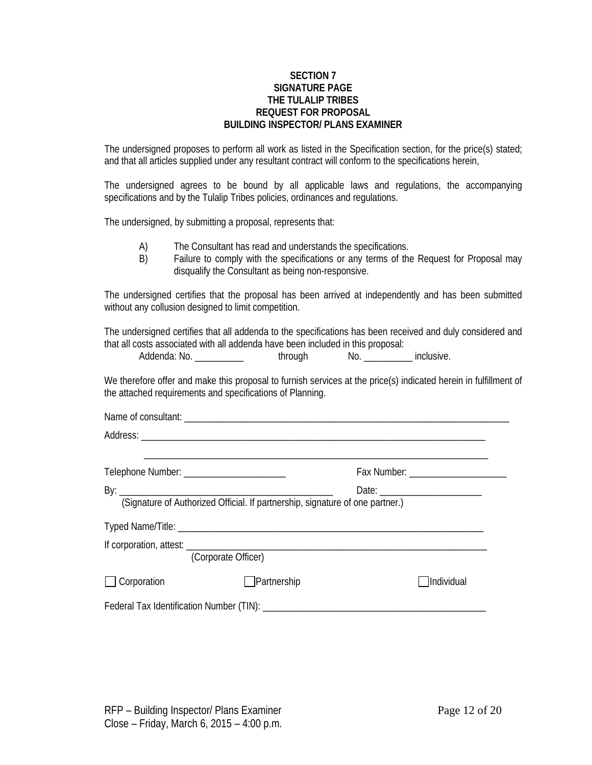#### **SECTION 7 SIGNATURE PAGE THE TULALIP TRIBES REQUEST FOR PROPOSAL BUILDING INSPECTOR/ PLANS EXAMINER**

The undersigned proposes to perform all work as listed in the Specification section, for the price(s) stated; and that all articles supplied under any resultant contract will conform to the specifications herein,

The undersigned agrees to be bound by all applicable laws and regulations, the accompanying specifications and by the Tulalip Tribes policies, ordinances and regulations.

The undersigned, by submitting a proposal, represents that:

- A) The Consultant has read and understands the specifications.
- B) Failure to comply with the specifications or any terms of the Request for Proposal may disqualify the Consultant as being non-responsive.

The undersigned certifies that the proposal has been arrived at independently and has been submitted without any collusion designed to limit competition.

The undersigned certifies that all addenda to the specifications has been received and duly considered and that all costs associated with all addenda have been included in this proposal:

Addenda: No. \_\_\_\_\_\_\_\_\_\_\_\_\_\_ through No. \_\_\_\_\_\_\_\_\_\_ inclusive.

We therefore offer and make this proposal to furnish services at the price(s) indicated herein in fulfillment of the attached requirements and specifications of Planning.

| Telephone Number: ________________________                                    |             | Fax Number: _____________________ |
|-------------------------------------------------------------------------------|-------------|-----------------------------------|
|                                                                               |             | Date:                             |
| (Signature of Authorized Official. If partnership, signature of one partner.) |             |                                   |
|                                                                               |             |                                   |
|                                                                               |             |                                   |
| (Corporate Officer)                                                           |             |                                   |
| $\Box$ Corporation                                                            | Partnership | Individual                        |
|                                                                               |             |                                   |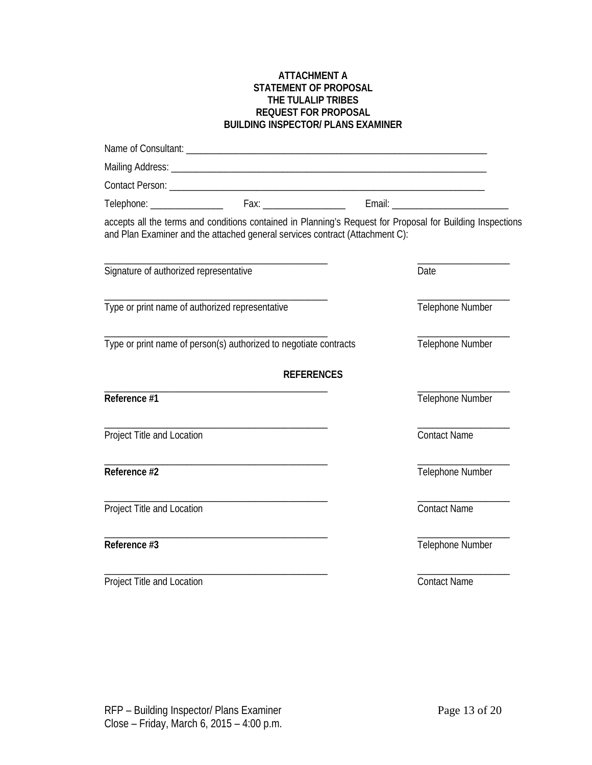#### **ATTACHMENT A STATEMENT OF PROPOSAL THE TULALIP TRIBES REQUEST FOR PROPOSAL BUILDING INSPECTOR/ PLANS EXAMINER**

|                                                 | accepts all the terms and conditions contained in Planning's Request for Proposal for Building Inspections<br>and Plan Examiner and the attached general services contract (Attachment C): |                     |
|-------------------------------------------------|--------------------------------------------------------------------------------------------------------------------------------------------------------------------------------------------|---------------------|
| Signature of authorized representative          |                                                                                                                                                                                            | Date                |
| Type or print name of authorized representative |                                                                                                                                                                                            | Telephone Number    |
|                                                 | Type or print name of person(s) authorized to negotiate contracts                                                                                                                          | Telephone Number    |
|                                                 | <b>REFERENCES</b>                                                                                                                                                                          |                     |
| Reference #1                                    |                                                                                                                                                                                            | Telephone Number    |
| Project Title and Location                      |                                                                                                                                                                                            | <b>Contact Name</b> |
| Reference #2                                    |                                                                                                                                                                                            | Telephone Number    |
| Project Title and Location                      |                                                                                                                                                                                            | <b>Contact Name</b> |
| Reference #3                                    |                                                                                                                                                                                            | Telephone Number    |
| Project Title and Location                      |                                                                                                                                                                                            | <b>Contact Name</b> |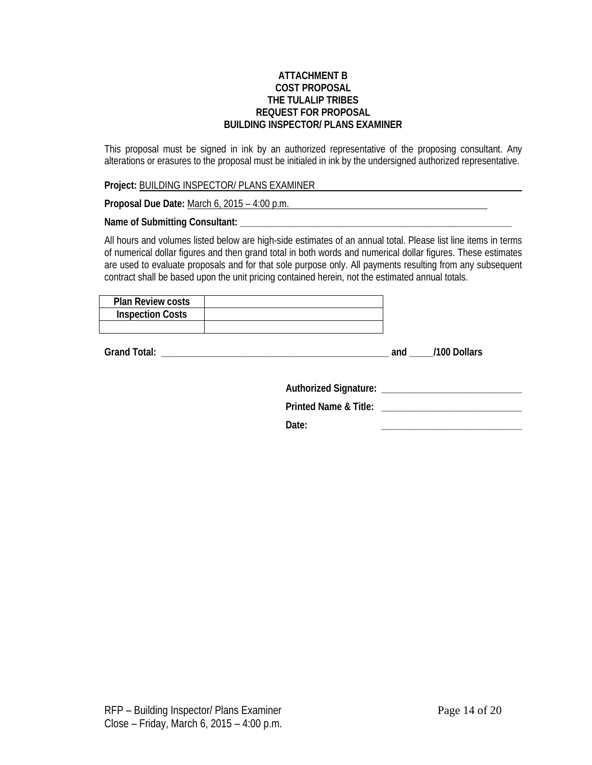#### **ATTACHMENT B COST PROPOSAL THE TULALIP TRIBES REQUEST FOR PROPOSAL BUILDING INSPECTOR/ PLANS EXAMINER**

This proposal must be signed in ink by an authorized representative of the proposing consultant. Any alterations or erasures to the proposal must be initialed in ink by the undersigned authorized representative.

**Project:** BUILDING INSPECTOR/ PLANS EXAMINER

**Proposal Due Date:** March 6, 2015 – 4:00 p.m.

**Name of Submitting Consultant: \_\_\_\_\_\_\_\_\_\_\_\_\_\_\_\_\_\_\_\_\_\_\_\_\_\_\_\_\_\_\_\_\_\_\_\_\_\_\_\_\_\_\_\_\_\_\_\_\_\_\_\_\_\_\_\_**

All hours and volumes listed below are high-side estimates of an annual total. Please list line items in terms of numerical dollar figures and then grand total in both words and numerical dollar figures. These estimates are used to evaluate proposals and for that sole purpose only. All payments resulting from any subsequent contract shall be based upon the unit pricing contained herein, not the estimated annual totals.

| <b>Plan Review costs</b> |  |
|--------------------------|--|
| <b>Inspection Costs</b>  |  |
|                          |  |

**Grand Total: \_\_\_\_\_\_\_\_\_\_\_\_\_\_\_\_\_\_\_\_\_\_\_\_\_\_\_\_\_\_\_\_\_\_\_\_\_\_\_\_\_\_\_\_\_\_\_ and \_\_\_\_\_/100 Dollars**

**Authorized Signature: \_\_\_\_\_\_\_\_\_\_\_\_\_\_\_\_\_\_\_\_\_\_\_\_\_\_\_\_\_**

**Printed Name & Title: \_\_\_\_\_\_\_\_\_\_\_\_\_\_\_\_\_\_\_\_\_\_\_\_\_\_\_\_\_**

**Date: \_\_\_\_\_\_\_\_\_\_\_\_\_\_\_\_\_\_\_\_\_\_\_\_\_\_\_\_\_**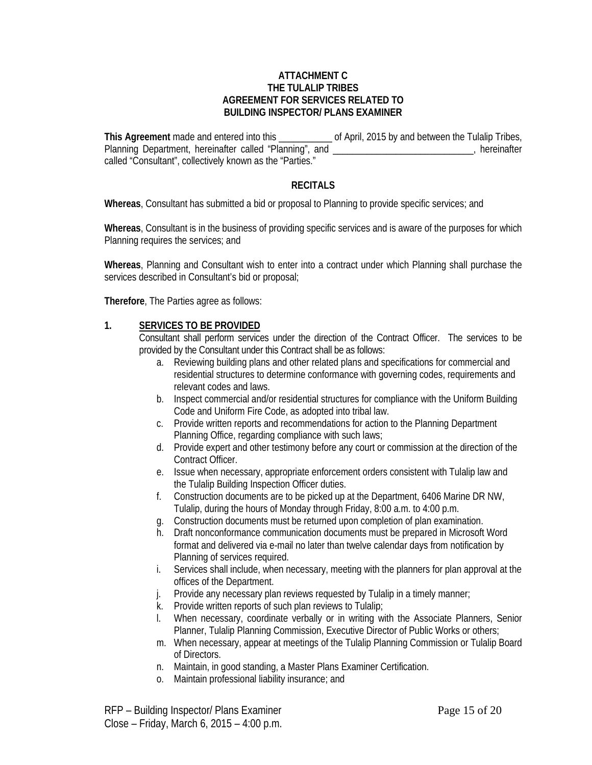#### **ATTACHMENT C THE TULALIP TRIBES AGREEMENT FOR SERVICES RELATED TO BUILDING INSPECTOR/ PLANS EXAMINER**

**This Agreement** made and entered into this \_\_\_\_\_\_\_\_\_\_\_ of April, 2015 by and between the Tulalip Tribes, Planning Department, hereinafter called "Planning", and \_\_\_\_\_\_\_\_\_\_\_\_\_\_\_\_\_\_\_\_\_\_\_\_\_\_\_\_\_\_, hereinafter called "Consultant", collectively known as the "Parties."

#### **RECITALS**

**Whereas**, Consultant has submitted a bid or proposal to Planning to provide specific services; and

**Whereas**, Consultant is in the business of providing specific services and is aware of the purposes for which Planning requires the services; and

**Whereas**, Planning and Consultant wish to enter into a contract under which Planning shall purchase the services described in Consultant's bid or proposal;

**Therefore**, The Parties agree as follows:

#### **1. SERVICES TO BE PROVIDED**

Consultant shall perform services under the direction of the Contract Officer. The services to be provided by the Consultant under this Contract shall be as follows:

- a. Reviewing building plans and other related plans and specifications for commercial and residential structures to determine conformance with governing codes, requirements and relevant codes and laws.
- b. Inspect commercial and/or residential structures for compliance with the Uniform Building Code and Uniform Fire Code, as adopted into tribal law.
- c. Provide written reports and recommendations for action to the Planning Department Planning Office, regarding compliance with such laws;
- d. Provide expert and other testimony before any court or commission at the direction of the Contract Officer.
- e. Issue when necessary, appropriate enforcement orders consistent with Tulalip law and the Tulalip Building Inspection Officer duties.
- f. Construction documents are to be picked up at the Department, 6406 Marine DR NW, Tulalip, during the hours of Monday through Friday, 8:00 a.m. to 4:00 p.m.
- g. Construction documents must be returned upon completion of plan examination.
- h. Draft nonconformance communication documents must be prepared in Microsoft Word format and delivered via e-mail no later than twelve calendar days from notification by Planning of services required.
- i. Services shall include, when necessary, meeting with the planners for plan approval at the offices of the Department.
- j. Provide any necessary plan reviews requested by Tulalip in a timely manner;
- k. Provide written reports of such plan reviews to Tulalip;
- l. When necessary, coordinate verbally or in writing with the Associate Planners, Senior Planner, Tulalip Planning Commission, Executive Director of Public Works or others;
- m. When necessary, appear at meetings of the Tulalip Planning Commission or Tulalip Board of Directors.
- n. Maintain, in good standing, a Master Plans Examiner Certification.
- o. Maintain professional liability insurance; and

RFP – Building Inspector/ Plans Examiner **Page 15 of 20** Page 15 of 20 Close – Friday, March 6, 2015 – 4:00 p.m.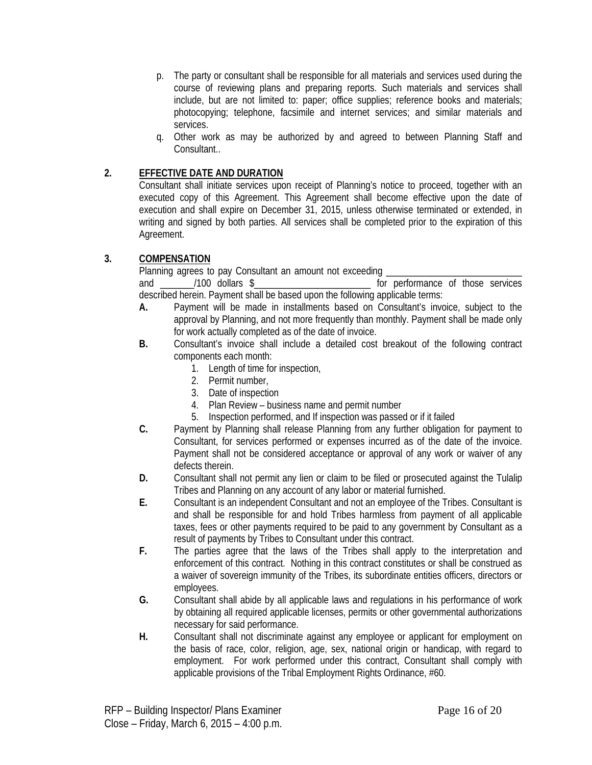- p. The party or consultant shall be responsible for all materials and services used during the course of reviewing plans and preparing reports. Such materials and services shall include, but are not limited to: paper; office supplies; reference books and materials; photocopying; telephone, facsimile and internet services; and similar materials and services.
- q. Other work as may be authorized by and agreed to between Planning Staff and Consultant..

# **2. EFFECTIVE DATE AND DURATION**

Consultant shall initiate services upon receipt of Planning's notice to proceed, together with an executed copy of this Agreement. This Agreement shall become effective upon the date of execution and shall expire on December 31, 2015, unless otherwise terminated or extended, in writing and signed by both parties. All services shall be completed prior to the expiration of this Agreement.

# **3. COMPENSATION**

Planning agrees to pay Consultant an amount not exceeding \_\_\_\_\_\_\_\_\_\_\_\_\_\_\_\_\_\_\_\_\_\_\_\_\_\_\_\_

and and and those dollars \$ and those services and those services described herein. Payment shall be based upon the following applicable terms:

- **A.** Payment will be made in installments based on Consultant's invoice, subject to the approval by Planning, and not more frequently than monthly. Payment shall be made only for work actually completed as of the date of invoice.
- **B.** Consultant's invoice shall include a detailed cost breakout of the following contract components each month:
	- 1. Length of time for inspection,
	- 2. Permit number,
	- 3. Date of inspection
	- 4. Plan Review business name and permit number
	- 5. Inspection performed, and If inspection was passed or if it failed
- **C.** Payment by Planning shall release Planning from any further obligation for payment to Consultant, for services performed or expenses incurred as of the date of the invoice. Payment shall not be considered acceptance or approval of any work or waiver of any defects therein.
- **D.** Consultant shall not permit any lien or claim to be filed or prosecuted against the Tulalip Tribes and Planning on any account of any labor or material furnished.
- **E.** Consultant is an independent Consultant and not an employee of the Tribes. Consultant is and shall be responsible for and hold Tribes harmless from payment of all applicable taxes, fees or other payments required to be paid to any government by Consultant as a result of payments by Tribes to Consultant under this contract.
- **F.** The parties agree that the laws of the Tribes shall apply to the interpretation and enforcement of this contract. Nothing in this contract constitutes or shall be construed as a waiver of sovereign immunity of the Tribes, its subordinate entities officers, directors or employees.
- **G.** Consultant shall abide by all applicable laws and regulations in his performance of work by obtaining all required applicable licenses, permits or other governmental authorizations necessary for said performance.
- **H.** Consultant shall not discriminate against any employee or applicant for employment on the basis of race, color, religion, age, sex, national origin or handicap, with regard to employment. For work performed under this contract, Consultant shall comply with applicable provisions of the Tribal Employment Rights Ordinance, #60.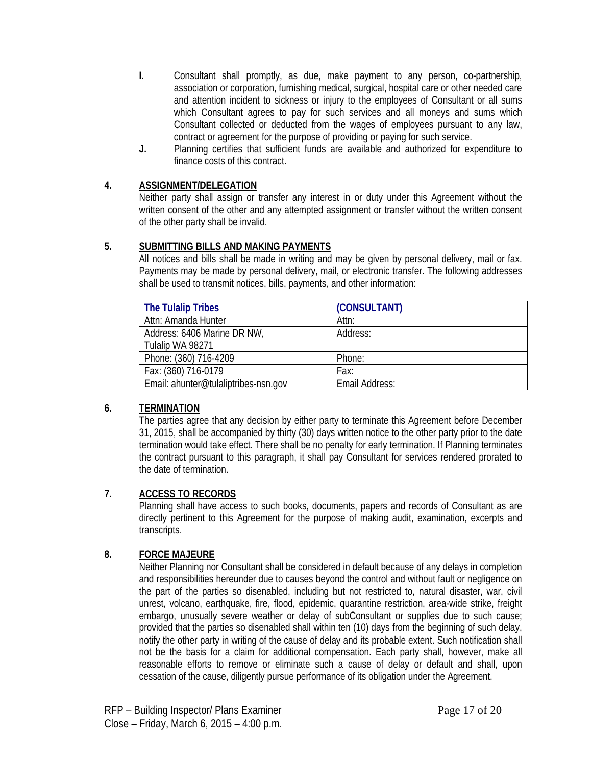- **I.** Consultant shall promptly, as due, make payment to any person, co-partnership, association or corporation, furnishing medical, surgical, hospital care or other needed care and attention incident to sickness or injury to the employees of Consultant or all sums which Consultant agrees to pay for such services and all moneys and sums which Consultant collected or deducted from the wages of employees pursuant to any law, contract or agreement for the purpose of providing or paying for such service.
- **J.** Planning certifies that sufficient funds are available and authorized for expenditure to finance costs of this contract.

# **4. ASSIGNMENT/DELEGATION**

Neither party shall assign or transfer any interest in or duty under this Agreement without the written consent of the other and any attempted assignment or transfer without the written consent of the other party shall be invalid.

# **5. SUBMITTING BILLS AND MAKING PAYMENTS**

All notices and bills shall be made in writing and may be given by personal delivery, mail or fax. Payments may be made by personal delivery, mail, or electronic transfer. The following addresses shall be used to transmit notices, bills, payments, and other information:

| <b>The Tulalip Tribes</b>            | (CONSULTANT)   |
|--------------------------------------|----------------|
| Attn: Amanda Hunter                  | Attn:          |
| Address: 6406 Marine DR NW,          | Address:       |
| Tulalip WA 98271                     |                |
| Phone: (360) 716-4209                | Phone:         |
| Fax: (360) 716-0179                  | Fax:           |
| Email: ahunter@tulaliptribes-nsn.gov | Email Address: |

# **6. TERMINATION**

The parties agree that any decision by either party to terminate this Agreement before December 31, 2015, shall be accompanied by thirty (30) days written notice to the other party prior to the date termination would take effect. There shall be no penalty for early termination. If Planning terminates the contract pursuant to this paragraph, it shall pay Consultant for services rendered prorated to the date of termination.

# **7. ACCESS TO RECORDS**

Planning shall have access to such books, documents, papers and records of Consultant as are directly pertinent to this Agreement for the purpose of making audit, examination, excerpts and transcripts.

# **8. FORCE MAJEURE**

Neither Planning nor Consultant shall be considered in default because of any delays in completion and responsibilities hereunder due to causes beyond the control and without fault or negligence on the part of the parties so disenabled, including but not restricted to, natural disaster, war, civil unrest, volcano, earthquake, fire, flood, epidemic, quarantine restriction, area-wide strike, freight embargo, unusually severe weather or delay of subConsultant or supplies due to such cause; provided that the parties so disenabled shall within ten (10) days from the beginning of such delay, notify the other party in writing of the cause of delay and its probable extent. Such notification shall not be the basis for a claim for additional compensation. Each party shall, however, make all reasonable efforts to remove or eliminate such a cause of delay or default and shall, upon cessation of the cause, diligently pursue performance of its obligation under the Agreement.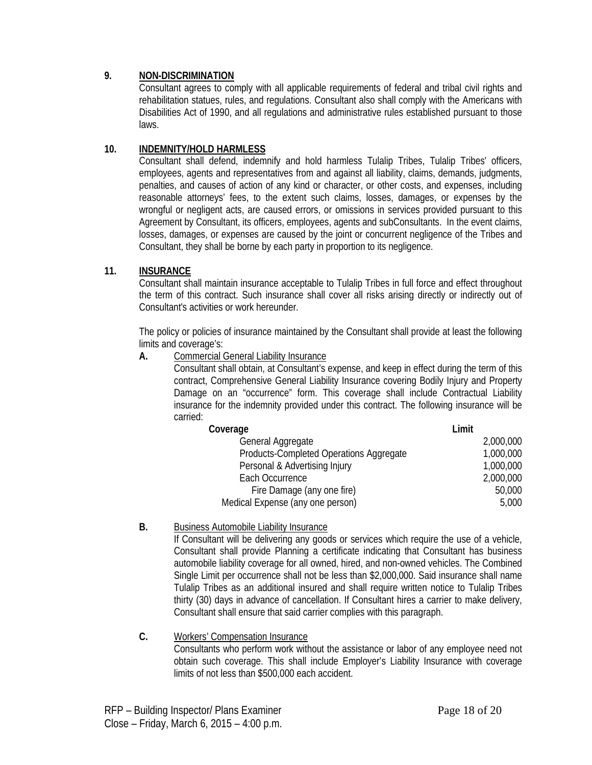# **9. NON-DISCRIMINATION**

Consultant agrees to comply with all applicable requirements of federal and tribal civil rights and rehabilitation statues, rules, and regulations. Consultant also shall comply with the Americans with Disabilities Act of 1990, and all regulations and administrative rules established pursuant to those laws.

# **10. INDEMNITY/HOLD HARMLESS**

Consultant shall defend, indemnify and hold harmless Tulalip Tribes, Tulalip Tribes' officers, employees, agents and representatives from and against all liability, claims, demands, judgments, penalties, and causes of action of any kind or character, or other costs, and expenses, including reasonable attorneys' fees, to the extent such claims, losses, damages, or expenses by the wrongful or negligent acts, are caused errors, or omissions in services provided pursuant to this Agreement by Consultant, its officers, employees, agents and subConsultants. In the event claims, losses, damages, or expenses are caused by the joint or concurrent negligence of the Tribes and Consultant, they shall be borne by each party in proportion to its negligence.

# **11. INSURANCE**

Consultant shall maintain insurance acceptable to Tulalip Tribes in full force and effect throughout the term of this contract. Such insurance shall cover all risks arising directly or indirectly out of Consultant's activities or work hereunder.

The policy or policies of insurance maintained by the Consultant shall provide at least the following limits and coverage's:

#### **A.** Commercial General Liability Insurance

Consultant shall obtain, at Consultant's expense, and keep in effect during the term of this contract, Comprehensive General Liability Insurance covering Bodily Injury and Property Damage on an "occurrence" form. This coverage shall include Contractual Liability insurance for the indemnity provided under this contract. The following insurance will be carried:

| Coverage                                | Limit     |
|-----------------------------------------|-----------|
| General Aggregate                       | 2,000,000 |
| Products-Completed Operations Aggregate | 1,000,000 |
| Personal & Advertising Injury           | 1,000,000 |
| Each Occurrence                         | 2,000,000 |
| Fire Damage (any one fire)              | 50,000    |
| Medical Expense (any one person)        | 5,000     |

**B.** Business Automobile Liability Insurance

If Consultant will be delivering any goods or services which require the use of a vehicle, Consultant shall provide Planning a certificate indicating that Consultant has business automobile liability coverage for all owned, hired, and non-owned vehicles. The Combined Single Limit per occurrence shall not be less than \$2,000,000. Said insurance shall name Tulalip Tribes as an additional insured and shall require written notice to Tulalip Tribes thirty (30) days in advance of cancellation. If Consultant hires a carrier to make delivery, Consultant shall ensure that said carrier complies with this paragraph.

#### **C.** Workers' Compensation Insurance Consultants who perform work without the assistance or labor of any employee need not obtain such coverage. This shall include Employer's Liability Insurance with coverage limits of not less than \$500,000 each accident.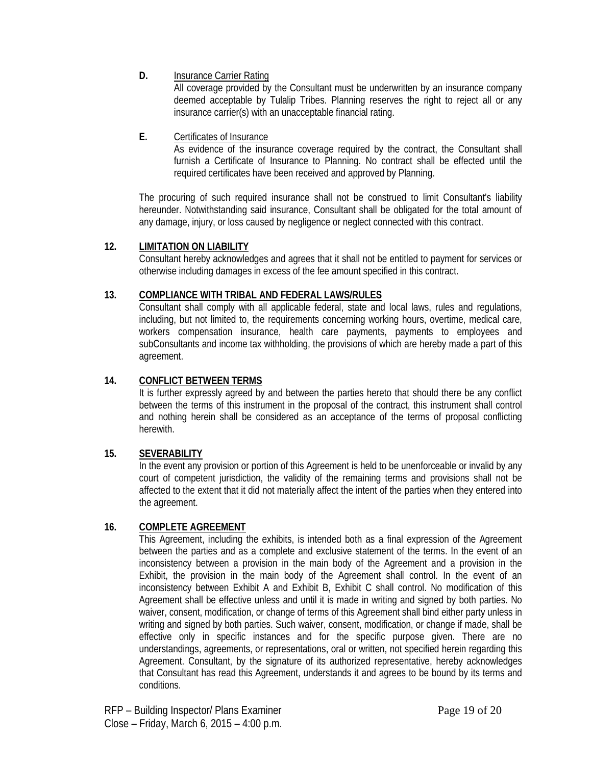**D.** Insurance Carrier Rating

All coverage provided by the Consultant must be underwritten by an insurance company deemed acceptable by Tulalip Tribes. Planning reserves the right to reject all or any insurance carrier(s) with an unacceptable financial rating.

**E.** Certificates of Insurance

As evidence of the insurance coverage required by the contract, the Consultant shall furnish a Certificate of Insurance to Planning. No contract shall be effected until the required certificates have been received and approved by Planning.

The procuring of such required insurance shall not be construed to limit Consultant's liability hereunder. Notwithstanding said insurance, Consultant shall be obligated for the total amount of any damage, injury, or loss caused by negligence or neglect connected with this contract.

# **12. LIMITATION ON LIABILITY**

Consultant hereby acknowledges and agrees that it shall not be entitled to payment for services or otherwise including damages in excess of the fee amount specified in this contract.

# **13. COMPLIANCE WITH TRIBAL AND FEDERAL LAWS/RULES**

Consultant shall comply with all applicable federal, state and local laws, rules and regulations, including, but not limited to, the requirements concerning working hours, overtime, medical care, workers compensation insurance, health care payments, payments to employees and subConsultants and income tax withholding, the provisions of which are hereby made a part of this agreement.

# **14. CONFLICT BETWEEN TERMS**

It is further expressly agreed by and between the parties hereto that should there be any conflict between the terms of this instrument in the proposal of the contract, this instrument shall control and nothing herein shall be considered as an acceptance of the terms of proposal conflicting herewith.

# **15. SEVERABILITY**

In the event any provision or portion of this Agreement is held to be unenforceable or invalid by any court of competent jurisdiction, the validity of the remaining terms and provisions shall not be affected to the extent that it did not materially affect the intent of the parties when they entered into the agreement.

# **16. COMPLETE AGREEMENT**

This Agreement, including the exhibits, is intended both as a final expression of the Agreement between the parties and as a complete and exclusive statement of the terms. In the event of an inconsistency between a provision in the main body of the Agreement and a provision in the Exhibit, the provision in the main body of the Agreement shall control. In the event of an inconsistency between Exhibit A and Exhibit B, Exhibit C shall control. No modification of this Agreement shall be effective unless and until it is made in writing and signed by both parties. No waiver, consent, modification, or change of terms of this Agreement shall bind either party unless in writing and signed by both parties. Such waiver, consent, modification, or change if made, shall be effective only in specific instances and for the specific purpose given. There are no understandings, agreements, or representations, oral or written, not specified herein regarding this Agreement. Consultant, by the signature of its authorized representative, hereby acknowledges that Consultant has read this Agreement, understands it and agrees to be bound by its terms and conditions.

RFP – Building Inspector/ Plans Examiner **Page 19 of 20** Page 19 of 20 Close – Friday, March 6, 2015 – 4:00 p.m.